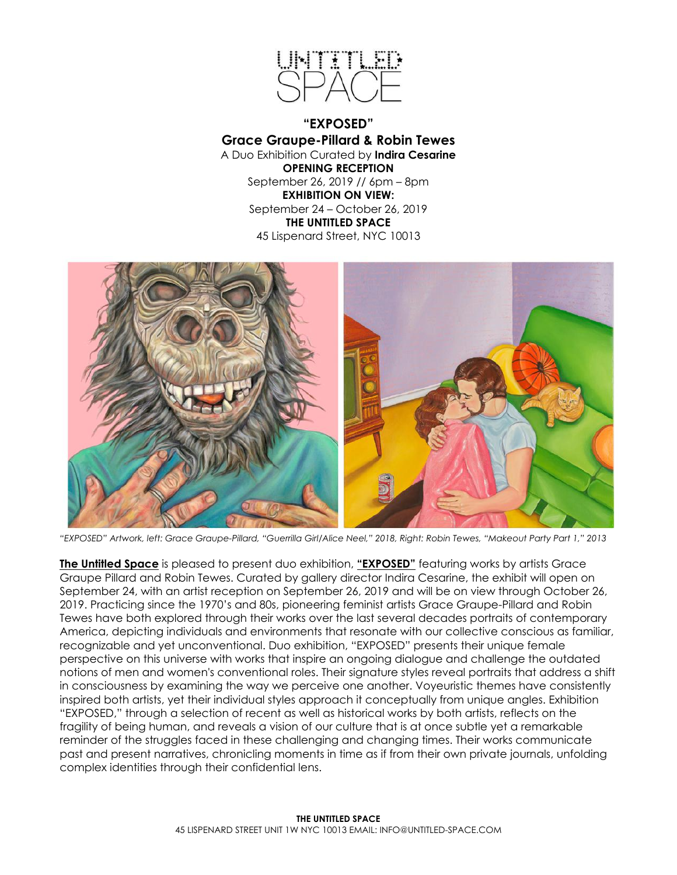

**"EXPOSED" Grace Graupe-Pillard & Robin Tewes** A Duo Exhibition Curated by **Indira Cesarine OPENING RECEPTION** September 26, 2019 // 6pm – 8pm **EXHIBITION ON VIEW:** September 24 – October 26, 2019 **THE UNTITLED SPACE** 45 Lispenard Street, NYC 10013



*"EXPOSED" Artwork, left: Grace Graupe-Pillard, "Guerrilla Girl/Alice Neel," 2018, Right: Robin Tewes, "Makeout Party Part 1," 2013*

**The Untitled Space** is pleased to present duo exhibition, **"EXPOSED"** featuring works by artists Grace Graupe Pillard and Robin Tewes. Curated by gallery director Indira Cesarine, the exhibit will open on September 24, with an artist reception on September 26, 2019 and will be on view through October 26, 2019. Practicing since the 1970's and 80s, pioneering feminist artists Grace Graupe-Pillard and Robin Tewes have both explored through their works over the last several decades portraits of contemporary America, depicting individuals and environments that resonate with our collective conscious as familiar, recognizable and yet unconventional. Duo exhibition, "EXPOSED" presents their unique female perspective on this universe with works that inspire an ongoing dialogue and challenge the outdated notions of men and women's conventional roles. Their signature styles reveal portraits that address a shift in consciousness by examining the way we perceive one another. Voyeuristic themes have consistently inspired both artists, yet their individual styles approach it conceptually from unique angles. Exhibition "EXPOSED," through a selection of recent as well as historical works by both artists, reflects on the fragility of being human, and reveals a vision of our culture that is at once subtle yet a remarkable reminder of the struggles faced in these challenging and changing times. Their works communicate past and present narratives, chronicling moments in time as if from their own private journals, unfolding complex identities through their confidential lens.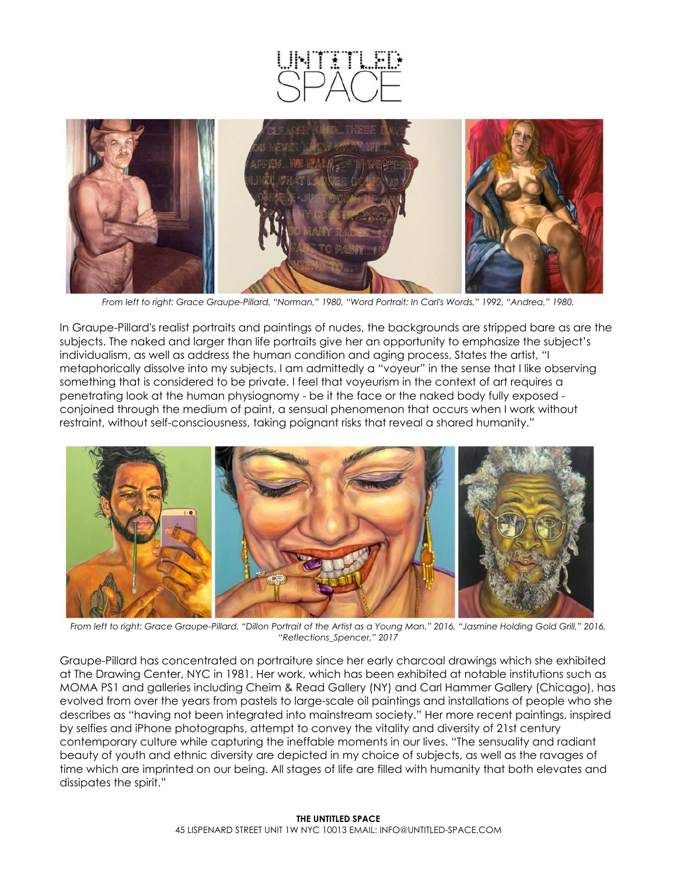

*From left to right: Grace Graupe-Pillard, "Norman," 1980, "Word Portrait: In Carl's Words," 1992, "Andrea," 1980.*

In Graupe-Pillard's realist portraits and paintings of nudes, the backgrounds are stripped bare as are the subjects. The naked and larger than life portraits give her an opportunity to emphasize the subject's individualism, as well as address the human condition and aging process. States the artist, "I metaphorically dissolve into my subjects. I am admittedly a "voyeur" in the sense that I like observing something that is considered to be private. I feel that voyeurism in the context of art requires a penetrating look at the human physiognomy - be it the face or the naked body fully exposed conjoined through the medium of paint, a sensual phenomenon that occurs when I work without restraint, without self-consciousness, taking poignant risks that reveal a shared humanity."



*From left to right: Grace Graupe-Pillard, "Dillon Portrait of the Artist as a Young Man," 2016, "Jasmine Holding Gold Grill," 2016, "Reflections\_Spencer," 2017*

Graupe-Pillard has concentrated on portraiture since her early charcoal drawings which she exhibited at The Drawing Center, NYC in 1981. Her work, which has been exhibited at notable institutions such as MOMA PS1 and galleries including Cheim & Read Gallery (NY) and Carl Hammer Gallery (Chicago), has evolved from over the years from pastels to large-scale oil paintings and installations of people who she describes as "having not been integrated into mainstream society." Her more recent paintings, inspired by selfies and iPhone photographs, attempt to convey the vitality and diversity of 21st century contemporary culture while capturing the ineffable moments in our lives. "The sensuality and radiant beauty of youth and ethnic diversity are depicted in my choice of subjects, as well as the ravages of time which are imprinted on our being. All stages of life are filled with humanity that both elevates and dissipates the spirit."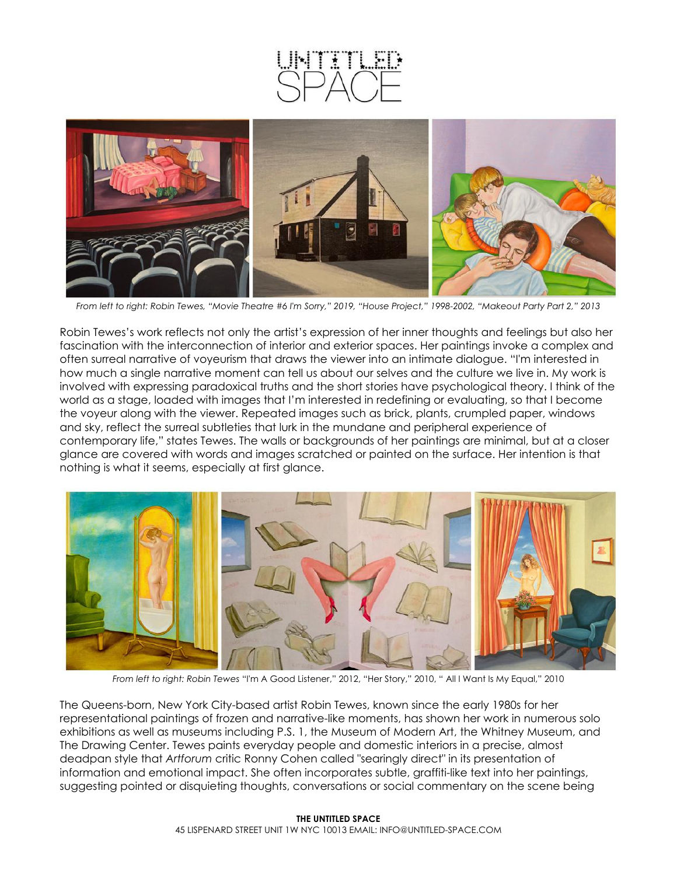



*From left to right: Robin Tewes, "Movie Theatre #6 I'm Sorry," 2019, "House Project," 1998-2002, "Makeout Party Part 2," 2013*

Robin Tewes's work reflects not only the artist's expression of her inner thoughts and feelings but also her fascination with the interconnection of interior and exterior spaces. Her paintings invoke a complex and often surreal narrative of voyeurism that draws the viewer into an intimate dialogue. "I'm interested in how much a single narrative moment can tell us about our selves and the culture we live in. My work is involved with expressing paradoxical truths and the short stories have psychological theory. I think of the world as a stage, loaded with images that I'm interested in redefining or evaluating, so that I become the voyeur along with the viewer. Repeated images such as brick, plants, crumpled paper, windows and sky, reflect the surreal subtleties that lurk in the mundane and peripheral experience of contemporary life," states Tewes. The walls or backgrounds of her paintings are minimal, but at a closer glance are covered with words and images scratched or painted on the surface. Her intention is that nothing is what it seems, especially at first glance.



*From left to right: Robin Tewes* "I'm A Good Listener," 2012, "Her Story," 2010, " All I Want Is My Equal," 2010

The Queens-born, New York City-based artist Robin Tewes, known since the early 1980s for her representational paintings of frozen and narrative-like moments, has shown her work in numerous solo exhibitions as well as museums including P.S. 1, the Museum of Modern Art, the Whitney Museum, and The Drawing Center. Tewes paints everyday people and domestic interiors in a precise, almost deadpan style that *Artforum* critic Ronny Cohen called "searingly direct" in its presentation of information and emotional impact. She often incorporates subtle, graffiti-like text into her paintings, suggesting pointed or disquieting thoughts, conversations or social commentary on the scene being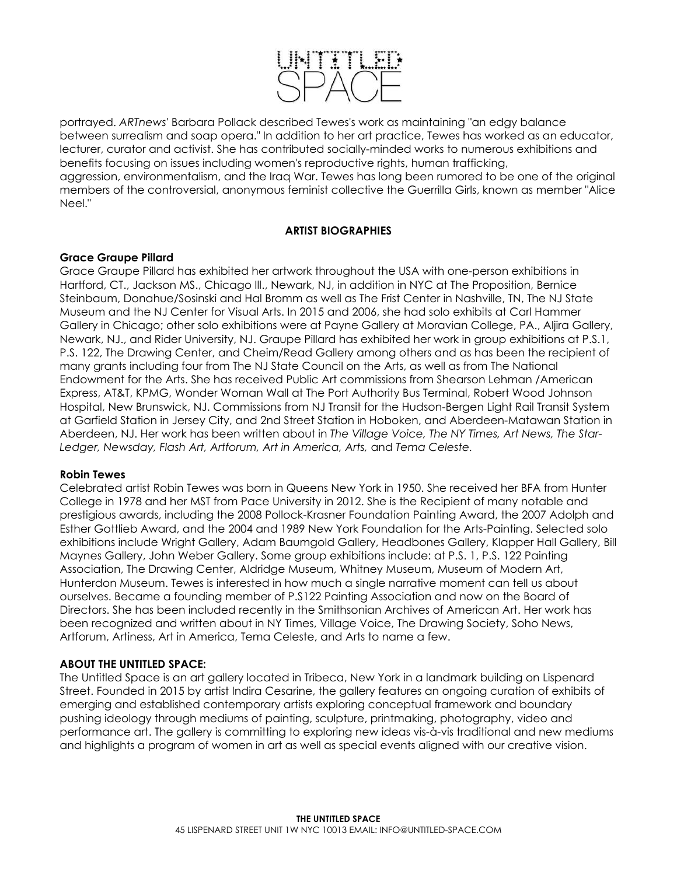

portrayed. *ARTnews'* Barbara Pollack described Tewes's work as maintaining "an edgy balance between surrealism and soap opera." In addition to her art practice, Tewes has worked as an educator, lecturer, curator and activist. She has contributed socially-minded works to numerous exhibitions and benefits focusing on issues including women's reproductive rights, human trafficking, aggression, environmentalism, and the Iraq War. Tewes has long been rumored to be one of the original members of the controversial, anonymous feminist collective the Guerrilla Girls, known as member "Alice Neel."

## **ARTIST BIOGRAPHIES**

## **Grace Graupe Pillard**

Grace Graupe Pillard has exhibited her artwork throughout the USA with one-person exhibitions in Hartford, CT., Jackson MS., Chicago Ill., Newark, NJ, in addition in NYC at The Proposition, Bernice Steinbaum, Donahue/Sosinski and Hal Bromm as well as The Frist Center in Nashville, TN, The NJ State Museum and the NJ Center for Visual Arts. In 2015 and 2006, she had solo exhibits at Carl Hammer Gallery in Chicago; other solo exhibitions were at Payne Gallery at Moravian College, PA., Aljira Gallery, Newark, NJ., and Rider University, NJ. Graupe Pillard has exhibited her work in group exhibitions at P.S.1, P.S. 122, The Drawing Center, and Cheim/Read Gallery among others and as has been the recipient of many grants including four from The NJ State Council on the Arts, as well as from The National Endowment for the Arts. She has received Public Art commissions from Shearson Lehman /American Express, AT&T, KPMG, Wonder Woman Wall at The Port Authority Bus Terminal, Robert Wood Johnson Hospital, New Brunswick, NJ. Commissions from NJ Transit for the Hudson-Bergen Light Rail Transit System at Garfield Station in Jersey City, and 2nd Street Station in Hoboken, and Aberdeen-Matawan Station in Aberdeen, NJ. Her work has been written about in *The Village Voice, The NY Times, Art News, The Star-Ledger, Newsday, Flash Art, Artforum, Art in America, Arts,* and *Tema Celeste.*

### **Robin Tewes**

Celebrated artist Robin Tewes was born in Queens New York in 1950. She received her BFA from Hunter College in 1978 and her MST from Pace University in 2012. She is the Recipient of many notable and prestigious awards, including the 2008 Pollock-Krasner Foundation Painting Award, the 2007 Adolph and Esther Gottlieb Award, and the 2004 and 1989 New York Foundation for the Arts-Painting. Selected solo exhibitions include Wright Gallery, Adam Baumgold Gallery, Headbones Gallery, Klapper Hall Gallery, Bill Maynes Gallery, John Weber Gallery. Some group exhibitions include: at P.S. 1, P.S. 122 Painting Association, The Drawing Center, Aldridge Museum, Whitney Museum, Museum of Modern Art, Hunterdon Museum. Tewes is interested in how much a single narrative moment can tell us about ourselves. Became a founding member of P.S122 Painting Association and now on the Board of Directors. She has been included recently in the Smithsonian Archives of American Art. Her work has been recognized and written about in NY Times, Village Voice, The Drawing Society, Soho News, Artforum, Artiness, Art in America, Tema Celeste, and Arts to name a few.

# **ABOUT THE UNTITLED SPACE:**

The Untitled Space is an art gallery located in Tribeca, New York in a landmark building on Lispenard Street. Founded in 2015 by artist Indira Cesarine, the gallery features an ongoing curation of exhibits of emerging and established contemporary artists exploring conceptual framework and boundary pushing ideology through mediums of painting, sculpture, printmaking, photography, video and performance art. The gallery is committing to exploring new ideas vis-à-vis traditional and new mediums and highlights a program of women in art as well as special events aligned with our creative vision.